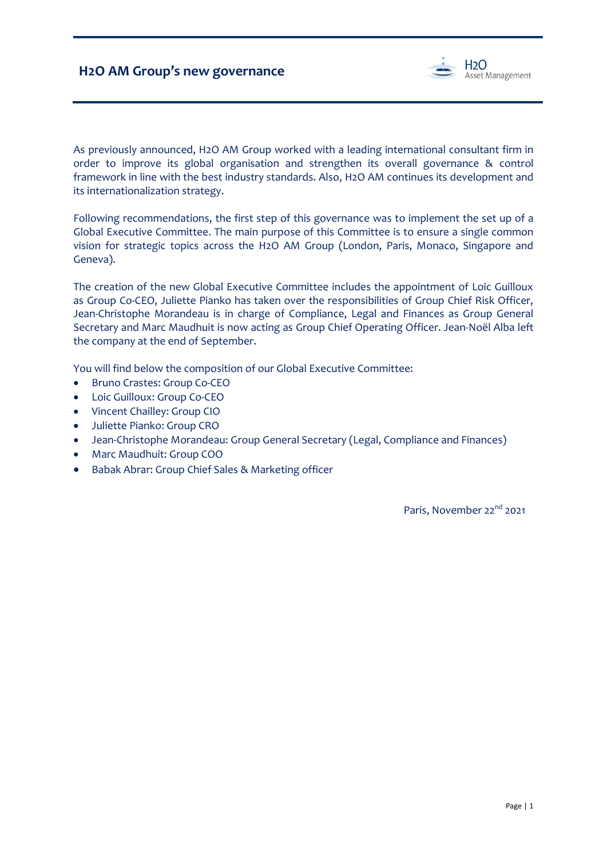

As previously announced, H2O AM Group worked with a leading international consultant firm in order to improve its global organisation and strengthen its overall governance & control framework in line with the best industry standards. Also, H2O AM continues its development and its internationalization strategy.

Following recommendations, the first step of this governance was to implement the set up of a Global Executive Committee. The main purpose of this Committee is to ensure a single common vision for strategic topics across the H2O AM Group (London, Paris, Monaco, Singapore and Geneva).

The creation of the new Global Executive Committee includes the appointment of Loic Guilloux as Group Co-CEO, Juliette Pianko has taken over the responsibilities of Group Chief Risk Officer, Jean-Christophe Morandeau is in charge of Compliance, Legal and Finances as Group General Secretary and Marc Maudhuit is now acting as Group Chief Operating Officer. Jean-Noël Alba left the company at the end of September.

You will find below the composition of our Global Executive Committee:

- Bruno Crastes: Group Co-CEO
- Loic Guilloux: Group Co-CEO
- Vincent Chailley: Group CIO
- Juliette Pianko: Group CRO
- Jean-Christophe Morandeau: Group General Secretary (Legal, Compliance and Finances)
- Marc Maudhuit: Group COO
- Babak Abrar: Group Chief Sales & Marketing officer

Paris, November 22<sup>nd</sup> 2021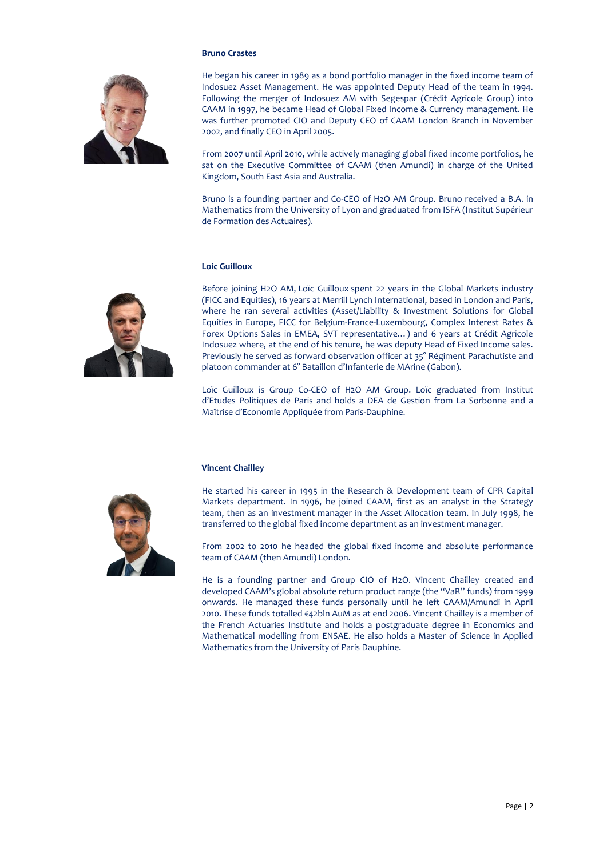

### **Bruno Crastes**

He began his career in 1989 as a bond portfolio manager in the fixed income team of Indosuez Asset Management. He was appointed Deputy Head of the team in 1994. Following the merger of Indosuez AM with Segespar (Crédit Agricole Group) into CAAM in 1997, he became Head of Global Fixed Income & Currency management. He was further promoted CIO and Deputy CEO of CAAM London Branch in November 2002, and finally CEO in April 2005.

From 2007 until April 2010, while actively managing global fixed income portfolios, he sat on the Executive Committee of CAAM (then Amundi) in charge of the United Kingdom, South East Asia and Australia.

Bruno is a founding partner and Co-CEO of H2O AM Group. Bruno received a B.A. in Mathematics from the University of Lyon and graduated from ISFA (Institut Supérieur de Formation des Actuaires).

# **Loic Guilloux**

Before joining H2O AM, Loïc Guilloux spent 22 years in the Global Markets industry (FICC and Equities), 16 years at Merrill Lynch International, based in London and Paris, where he ran several activities (Asset/Liability & Investment Solutions for Global Equities in Europe, FICC for Belgium-France-Luxembourg, Complex Interest Rates & Forex Options Sales in EMEA, SVT representative…) and 6 years at Crédit Agricole Indosuez where, at the end of his tenure, he was deputy Head of Fixed Income sales. Previously he served as forward observation officer at 35° Régiment Parachutiste and platoon commander at 6° Bataillon d'Infanterie de MArine (Gabon).

Loïc Guilloux is Group Co-CEO of H2O AM Group. Loïc graduated from Institut d'Etudes Politiques de Paris and holds a DEA de Gestion from La Sorbonne and a Maîtrise d'Economie Appliquée from Paris-Dauphine.

#### **Vincent Chailley**



He started his career in 1995 in the Research & Development team of CPR Capital Markets department. In 1996, he joined CAAM, first as an analyst in the Strategy team, then as an investment manager in the Asset Allocation team. In July 1998, he transferred to the global fixed income department as an investment manager.

From 2002 to 2010 he headed the global fixed income and absolute performance team of CAAM (then Amundi) London.

He is a founding partner and Group CIO of H2O. Vincent Chailley created and developed CAAM's global absolute return product range (the "VaR" funds) from 1999 onwards. He managed these funds personally until he left CAAM/Amundi in April 2010. These funds totalled €42bln AuM as at end 2006. Vincent Chailley is a member of the French Actuaries Institute and holds a postgraduate degree in Economics and Mathematical modelling from ENSAE. He also holds a Master of Science in Applied Mathematics from the University of Paris Dauphine.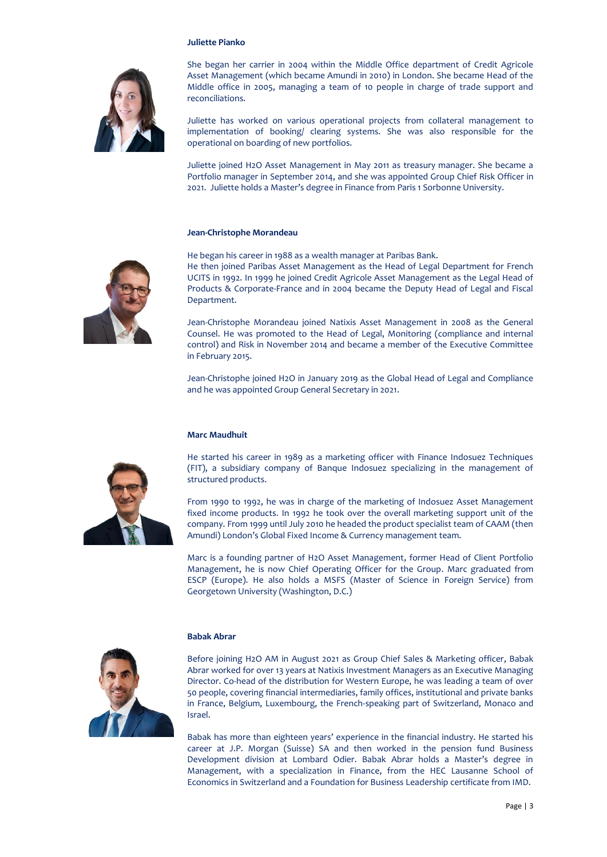### **Juliette Pianko**



She began her carrier in 2004 within the Middle Office department of Credit Agricole Asset Management (which became Amundi in 2010) in London. She became Head of the Middle office in 2005, managing a team of 10 people in charge of trade support and reconciliations.

Juliette has worked on various operational projects from collateral management to implementation of booking/ clearing systems. She was also responsible for the operational on boarding of new portfolios.

Juliette joined H2O Asset Management in May 2011 as treasury manager. She became a Portfolio manager in September 2014, and she was appointed Group Chief Risk Officer in 2021. Juliette holds a Master's degree in Finance from Paris 1 Sorbonne University.

#### **Jean-Christophe Morandeau**



He began his career in 1988 as a wealth manager at Paribas Bank. He then joined Paribas Asset Management as the Head of Legal Department for French UCITS in 1992. In 1999 he joined Credit Agricole Asset Management as the Legal Head of Products & Corporate-France and in 2004 became the Deputy Head of Legal and Fiscal Department.

Jean-Christophe Morandeau joined Natixis Asset Management in 2008 as the General Counsel. He was promoted to the Head of Legal, Monitoring (compliance and internal control) and Risk in November 2014 and became a member of the Executive Committee in February 2015.

Jean-Christophe joined H2O in January 2019 as the Global Head of Legal and Compliance and he was appointed Group General Secretary in 2021.

#### **Marc Maudhuit**



He started his career in 1989 as a marketing officer with Finance Indosuez Techniques (FIT), a subsidiary company of Banque Indosuez specializing in the management of structured products.

From 1990 to 1992, he was in charge of the marketing of Indosuez Asset Management fixed income products. In 1992 he took over the overall marketing support unit of the company. From 1999 until July 2010 he headed the product specialist team of CAAM (then Amundi) London's Global Fixed Income & Currency management team.

Marc is a founding partner of H2O Asset Management, former Head of Client Portfolio Management, he is now Chief Operating Officer for the Group. Marc graduated from ESCP (Europe). He also holds a MSFS (Master of Science in Foreign Service) from Georgetown University (Washington, D.C.)

#### **Babak Abrar**



Before joining H2O AM in August 2021 as Group Chief Sales & Marketing officer, Babak Abrar worked for over 13 years at Natixis Investment Managers as an Executive Managing Director. Co-head of the distribution for Western Europe, he was leading a team of over 50 people, covering financial intermediaries, family offices, institutional and private banks in France, Belgium, Luxembourg, the French-speaking part of Switzerland, Monaco and Israel.

Babak has more than eighteen years' experience in the financial industry. He started his career at J.P. Morgan (Suisse) SA and then worked in the pension fund Business Development division at Lombard Odier. Babak Abrar holds a Master's degree in Management, with a specialization in Finance, from the HEC Lausanne School of Economics in Switzerland and a Foundation for Business Leadership certificate from IMD.